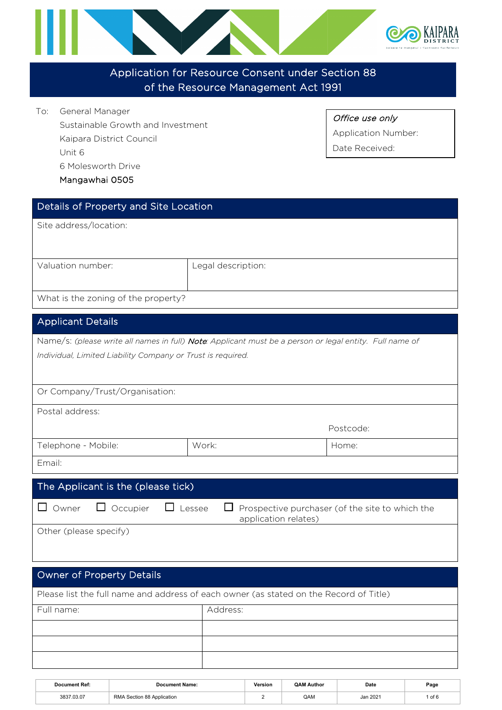

### Application for Resource Consent under Section 88 of the Resource Management Act 1991

To: General Manager Sustainable Growth and Investment Kaipara District Council Unit 6 6 Molesworth Drive

Mangawhai 0505

Office use only

Application Number:

Date Received:

| Legal description:   |                                                                                                                                                                                                                                                                                                                                                                                                                                    |  |  |  |  |
|----------------------|------------------------------------------------------------------------------------------------------------------------------------------------------------------------------------------------------------------------------------------------------------------------------------------------------------------------------------------------------------------------------------------------------------------------------------|--|--|--|--|
|                      |                                                                                                                                                                                                                                                                                                                                                                                                                                    |  |  |  |  |
|                      |                                                                                                                                                                                                                                                                                                                                                                                                                                    |  |  |  |  |
|                      |                                                                                                                                                                                                                                                                                                                                                                                                                                    |  |  |  |  |
|                      |                                                                                                                                                                                                                                                                                                                                                                                                                                    |  |  |  |  |
|                      |                                                                                                                                                                                                                                                                                                                                                                                                                                    |  |  |  |  |
|                      |                                                                                                                                                                                                                                                                                                                                                                                                                                    |  |  |  |  |
|                      |                                                                                                                                                                                                                                                                                                                                                                                                                                    |  |  |  |  |
|                      |                                                                                                                                                                                                                                                                                                                                                                                                                                    |  |  |  |  |
|                      | Postcode:                                                                                                                                                                                                                                                                                                                                                                                                                          |  |  |  |  |
| Work:                | Home:                                                                                                                                                                                                                                                                                                                                                                                                                              |  |  |  |  |
|                      |                                                                                                                                                                                                                                                                                                                                                                                                                                    |  |  |  |  |
|                      |                                                                                                                                                                                                                                                                                                                                                                                                                                    |  |  |  |  |
|                      |                                                                                                                                                                                                                                                                                                                                                                                                                                    |  |  |  |  |
| application relates) |                                                                                                                                                                                                                                                                                                                                                                                                                                    |  |  |  |  |
|                      |                                                                                                                                                                                                                                                                                                                                                                                                                                    |  |  |  |  |
|                      |                                                                                                                                                                                                                                                                                                                                                                                                                                    |  |  |  |  |
|                      |                                                                                                                                                                                                                                                                                                                                                                                                                                    |  |  |  |  |
|                      |                                                                                                                                                                                                                                                                                                                                                                                                                                    |  |  |  |  |
|                      |                                                                                                                                                                                                                                                                                                                                                                                                                                    |  |  |  |  |
|                      |                                                                                                                                                                                                                                                                                                                                                                                                                                    |  |  |  |  |
|                      |                                                                                                                                                                                                                                                                                                                                                                                                                                    |  |  |  |  |
|                      |                                                                                                                                                                                                                                                                                                                                                                                                                                    |  |  |  |  |
|                      | Details of Property and Site Location<br>Name/s: (please write all names in full) Note: Applicant must be a person or legal entity. Full name of<br>Individual, Limited Liability Company or Trust is required.<br>The Applicant is the (please tick)<br>Prospective purchaser (of the site to which the<br>Lessee<br>$\Box$<br>Please list the full name and address of each owner (as stated on the Record of Title)<br>Address: |  |  |  |  |

| Document Ref: | Document Name:             | Version | <b>QAM Author</b> | Date     | Page |
|---------------|----------------------------|---------|-------------------|----------|------|
| 3837.03.07    | RMA Section 88 Application |         | QAM               | Jan 2021 | of 6 |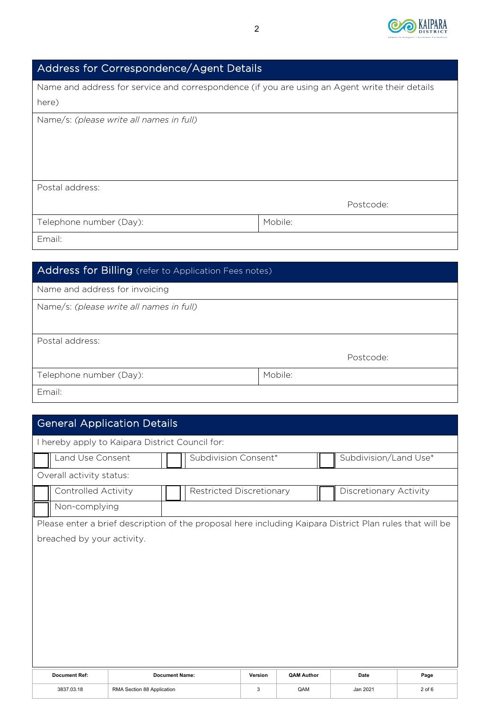

# Address for Correspondence/Agent Details

| Name and address for service and correspondence (if you are using an Agent write their details |         |  |  |  |  |  |
|------------------------------------------------------------------------------------------------|---------|--|--|--|--|--|
| here)                                                                                          |         |  |  |  |  |  |
| Name/s: (please write all names in full)                                                       |         |  |  |  |  |  |
| Postal address:                                                                                |         |  |  |  |  |  |
| Postcode:                                                                                      |         |  |  |  |  |  |
| Telephone number (Day):                                                                        | Mobile: |  |  |  |  |  |
| Email:                                                                                         |         |  |  |  |  |  |

| Address for Billing (refer to Application Fees notes) |         |  |  |  |  |
|-------------------------------------------------------|---------|--|--|--|--|
| Name and address for invoicing                        |         |  |  |  |  |
| Name/s: (please write all names in full)              |         |  |  |  |  |
|                                                       |         |  |  |  |  |
| Postal address:                                       |         |  |  |  |  |
| Postcode:                                             |         |  |  |  |  |
| Telephone number (Day):                               | Mobile: |  |  |  |  |
| Email:                                                |         |  |  |  |  |

# General Application Details

| I hereby apply to Kaipara District Council for: |                            |                            |                                               |                          |         |                   |                                                                                                          |            |
|-------------------------------------------------|----------------------------|----------------------------|-----------------------------------------------|--------------------------|---------|-------------------|----------------------------------------------------------------------------------------------------------|------------|
|                                                 | Land Use Consent           |                            | Subdivision/Land Use*<br>Subdivision Consent* |                          |         |                   |                                                                                                          |            |
|                                                 | Overall activity status:   |                            |                                               |                          |         |                   |                                                                                                          |            |
|                                                 | <b>Controlled Activity</b> |                            |                                               | Restricted Discretionary |         |                   | Discretionary Activity                                                                                   |            |
|                                                 | Non-complying              |                            |                                               |                          |         |                   |                                                                                                          |            |
|                                                 |                            |                            |                                               |                          |         |                   | Please enter a brief description of the proposal here including Kaipara District Plan rules that will be |            |
|                                                 | breached by your activity. |                            |                                               |                          |         |                   |                                                                                                          |            |
|                                                 |                            |                            |                                               |                          |         |                   |                                                                                                          |            |
|                                                 |                            |                            |                                               |                          |         |                   |                                                                                                          |            |
|                                                 |                            |                            |                                               |                          |         |                   |                                                                                                          |            |
|                                                 |                            |                            |                                               |                          |         |                   |                                                                                                          |            |
|                                                 |                            |                            |                                               |                          |         |                   |                                                                                                          |            |
|                                                 |                            |                            |                                               |                          |         |                   |                                                                                                          |            |
|                                                 |                            |                            |                                               |                          |         |                   |                                                                                                          |            |
|                                                 |                            |                            |                                               |                          |         |                   |                                                                                                          |            |
|                                                 | <b>Document Ref:</b>       |                            | <b>Document Name:</b>                         |                          | Version | <b>QAM Author</b> | Date                                                                                                     | Page       |
|                                                 | 3837.03.18                 | RMA Section 88 Application |                                               |                          | 3       | QAM               | Jan 2021                                                                                                 | $2$ of $6$ |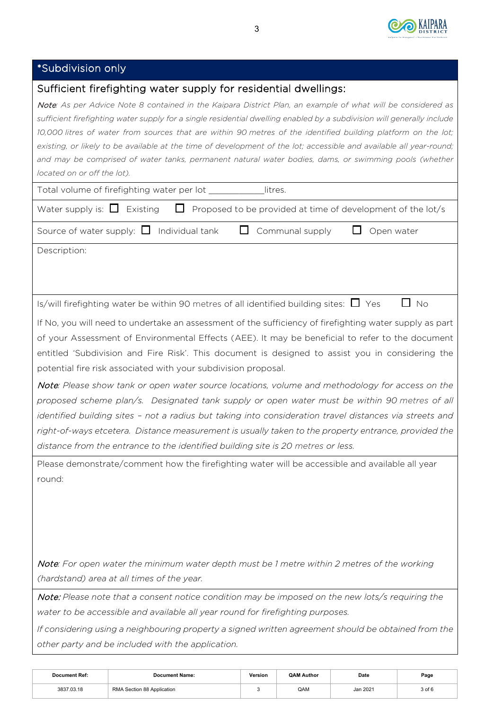

# \*Subdivision only

| Sufficient firefighting water supply for residential dwellings:                                                                                                                                                                                                                                                                                                                                                                                                                                                                                                                                                                                                                                                                                                                                                                                                                             |
|---------------------------------------------------------------------------------------------------------------------------------------------------------------------------------------------------------------------------------------------------------------------------------------------------------------------------------------------------------------------------------------------------------------------------------------------------------------------------------------------------------------------------------------------------------------------------------------------------------------------------------------------------------------------------------------------------------------------------------------------------------------------------------------------------------------------------------------------------------------------------------------------|
| Note: As per Advice Note 8 contained in the Kaipara District Plan, an example of what will be considered as<br>sufficient firefighting water supply for a single residential dwelling enabled by a subdivision will generally include<br>10,000 litres of water from sources that are within 90 metres of the identified building platform on the lot;<br>existing, or likely to be available at the time of development of the lot; accessible and available all year-round;<br>and may be comprised of water tanks, permanent natural water bodies, dams, or swimming pools (whether<br>located on or off the lot).                                                                                                                                                                                                                                                                       |
| Total volume of firefighting water per lot ___________<br>litres.                                                                                                                                                                                                                                                                                                                                                                                                                                                                                                                                                                                                                                                                                                                                                                                                                           |
| Water supply is: $\Box$ Existing<br>$\Box$ Proposed to be provided at time of development of the lot/s                                                                                                                                                                                                                                                                                                                                                                                                                                                                                                                                                                                                                                                                                                                                                                                      |
| Source of water supply: $\Box$ Individual tank<br>Communal supply<br>Open water                                                                                                                                                                                                                                                                                                                                                                                                                                                                                                                                                                                                                                                                                                                                                                                                             |
| Description:                                                                                                                                                                                                                                                                                                                                                                                                                                                                                                                                                                                                                                                                                                                                                                                                                                                                                |
| Is/will firefighting water be within 90 metres of all identified building sites: $\Box$ Yes<br>$\Box$ No                                                                                                                                                                                                                                                                                                                                                                                                                                                                                                                                                                                                                                                                                                                                                                                    |
| If No, you will need to undertake an assessment of the sufficiency of firefighting water supply as part<br>of your Assessment of Environmental Effects (AEE). It may be beneficial to refer to the document<br>entitled 'Subdivision and Fire Risk'. This document is designed to assist you in considering the<br>potential fire risk associated with your subdivision proposal.<br>Note: Please show tank or open water source locations, volume and methodology for access on the<br>proposed scheme plan/s. Designated tank supply or open water must be within 90 metres of all<br>identified building sites - not a radius but taking into consideration travel distances via streets and<br>right-of-ways etcetera. Distance measurement is usually taken to the property entrance, provided the<br>distance from the entrance to the identified building site is 20 metres or less. |
| Please demonstrate/comment how the firefighting water will be accessible and available all year<br>round:                                                                                                                                                                                                                                                                                                                                                                                                                                                                                                                                                                                                                                                                                                                                                                                   |
| Note: For open water the minimum water depth must be 1 metre within 2 metres of the working<br>(hardstand) area at all times of the year.                                                                                                                                                                                                                                                                                                                                                                                                                                                                                                                                                                                                                                                                                                                                                   |
| Note: Please note that a consent notice condition may be imposed on the new lots/s requiring the<br>water to be accessible and available all year round for firefighting purposes.                                                                                                                                                                                                                                                                                                                                                                                                                                                                                                                                                                                                                                                                                                          |
| If considering using a neighbouring property a signed written agreement should be obtained from the<br>other party and be included with the application.                                                                                                                                                                                                                                                                                                                                                                                                                                                                                                                                                                                                                                                                                                                                    |

| <b>Document Ref:</b> | <b>Document Name:</b>      | Version | <b>QAM Author</b> | Date     | Page       |
|----------------------|----------------------------|---------|-------------------|----------|------------|
| 3837.03.18           | RMA Section 88 Application |         | QAM               | Jan 2021 | $3$ of $6$ |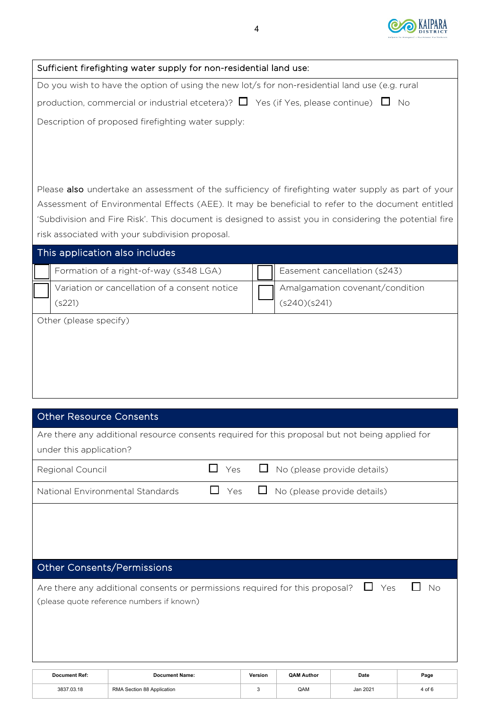

|                                                                                                | Sufficient firefighting water supply for non-residential land use:                                     |              |                   |                                 |           |  |
|------------------------------------------------------------------------------------------------|--------------------------------------------------------------------------------------------------------|--------------|-------------------|---------------------------------|-----------|--|
| Do you wish to have the option of using the new lot/s for non-residential land use (e.g. rural |                                                                                                        |              |                   |                                 |           |  |
| production, commercial or industrial etcetera)? $\Box$ Yes (if Yes, please continue) $\Box$ No |                                                                                                        |              |                   |                                 |           |  |
|                                                                                                | Description of proposed firefighting water supply:                                                     |              |                   |                                 |           |  |
|                                                                                                |                                                                                                        |              |                   |                                 |           |  |
|                                                                                                |                                                                                                        |              |                   |                                 |           |  |
|                                                                                                |                                                                                                        |              |                   |                                 |           |  |
|                                                                                                | Please also undertake an assessment of the sufficiency of firefighting water supply as part of your    |              |                   |                                 |           |  |
|                                                                                                | Assessment of Environmental Effects (AEE). It may be beneficial to refer to the document entitled      |              |                   |                                 |           |  |
|                                                                                                | 'Subdivision and Fire Risk'. This document is designed to assist you in considering the potential fire |              |                   |                                 |           |  |
|                                                                                                | risk associated with your subdivision proposal.                                                        |              |                   |                                 |           |  |
| This application also includes                                                                 |                                                                                                        |              |                   |                                 |           |  |
|                                                                                                | Formation of a right-of-way (s348 LGA)                                                                 |              |                   | Easement cancellation (s243)    |           |  |
| (s221)                                                                                         | Variation or cancellation of a consent notice                                                          |              | (s240)(s241)      | Amalgamation covenant/condition |           |  |
| Other (please specify)                                                                         |                                                                                                        |              |                   |                                 |           |  |
|                                                                                                |                                                                                                        |              |                   |                                 |           |  |
|                                                                                                |                                                                                                        |              |                   |                                 |           |  |
|                                                                                                |                                                                                                        |              |                   |                                 |           |  |
|                                                                                                |                                                                                                        |              |                   |                                 |           |  |
|                                                                                                |                                                                                                        |              |                   |                                 |           |  |
| <b>Other Resource Consents</b>                                                                 |                                                                                                        |              |                   |                                 |           |  |
|                                                                                                | Are there any additional resource consents required for this proposal but not being applied for        |              |                   |                                 |           |  |
| under this application?                                                                        |                                                                                                        |              |                   |                                 |           |  |
| Regional Council                                                                               | $\mathsf{L}$<br>Yes                                                                                    | $\mathsf{L}$ |                   | No (please provide details)     |           |  |
| National Environmental Standards                                                               | Yes                                                                                                    |              |                   | No (please provide details)     |           |  |
|                                                                                                |                                                                                                        |              |                   |                                 |           |  |
|                                                                                                |                                                                                                        |              |                   |                                 |           |  |
|                                                                                                |                                                                                                        |              |                   |                                 |           |  |
| <b>Other Consents/Permissions</b>                                                              |                                                                                                        |              |                   |                                 |           |  |
|                                                                                                | Are there any additional consents or permissions required for this proposal?                           |              |                   | Yes                             | <b>No</b> |  |
|                                                                                                | (please quote reference numbers if known)                                                              |              |                   |                                 |           |  |
|                                                                                                |                                                                                                        |              |                   |                                 |           |  |
|                                                                                                |                                                                                                        |              |                   |                                 |           |  |
|                                                                                                |                                                                                                        |              |                   |                                 |           |  |
| <b>Document Ref:</b>                                                                           | <b>Document Name:</b>                                                                                  | Version      | <b>QAM Author</b> | Date                            | Page      |  |
| 3837.03.18                                                                                     | RMA Section 88 Application                                                                             | 3            | QAM               | Jan 2021                        | 4 of 6    |  |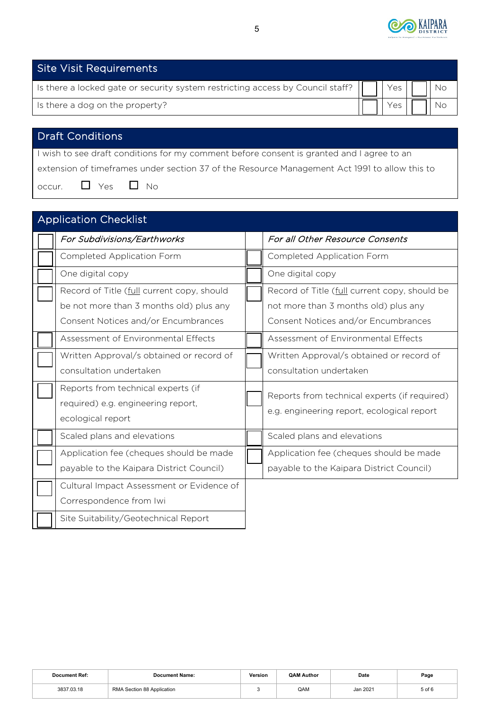

| <b>Site Visit Requirements</b>                                                 |     |  |
|--------------------------------------------------------------------------------|-----|--|
| Is there a locked gate or security system restricting access by Council staff? | Yes |  |
| Is there a dog on the property?                                                |     |  |
|                                                                                |     |  |

## Draft Conditions

I wish to see draft conditions for my comment before consent is granted and I agree to an extension of timeframes under section 37 of the Resource Management Act 1991 to allow this to occur.  $\Box$  Yes  $\Box$  No

| <b>Application Checklist</b>                                                                                                 |                                                                                                                              |
|------------------------------------------------------------------------------------------------------------------------------|------------------------------------------------------------------------------------------------------------------------------|
| For Subdivisions/Earthworks                                                                                                  | For all Other Resource Consents                                                                                              |
| Completed Application Form                                                                                                   | <b>Completed Application Form</b>                                                                                            |
| One digital copy                                                                                                             | One digital copy                                                                                                             |
| Record of Title (full current copy, should<br>be not more than 3 months old) plus any<br>Consent Notices and/or Encumbrances | Record of Title (full current copy, should be<br>not more than 3 months old) plus any<br>Consent Notices and/or Encumbrances |
| Assessment of Environmental Effects                                                                                          | Assessment of Environmental Effects                                                                                          |
| Written Approval/s obtained or record of<br>consultation undertaken<br>Reports from technical experts (if                    | Written Approval/s obtained or record of<br>consultation undertaken                                                          |
| required) e.g. engineering report,<br>ecological report                                                                      | Reports from technical experts (if required)<br>e.g. engineering report, ecological report                                   |
| Scaled plans and elevations                                                                                                  | Scaled plans and elevations                                                                                                  |
| Application fee (cheques should be made<br>payable to the Kaipara District Council)                                          | Application fee (cheques should be made<br>payable to the Kaipara District Council)                                          |
| Cultural Impact Assessment or Evidence of<br>Correspondence from Iwi                                                         |                                                                                                                              |
| Site Suitability/Geotechnical Report                                                                                         |                                                                                                                              |

| <b>Document Ref:</b> | <b>Document Name:</b>      | Version | <b>QAM Author</b> | Date     | Page   |
|----------------------|----------------------------|---------|-------------------|----------|--------|
| 3837.03.18           | RMA Section 88 Application |         | QAM               | Jan 2021 | 5 of 6 |